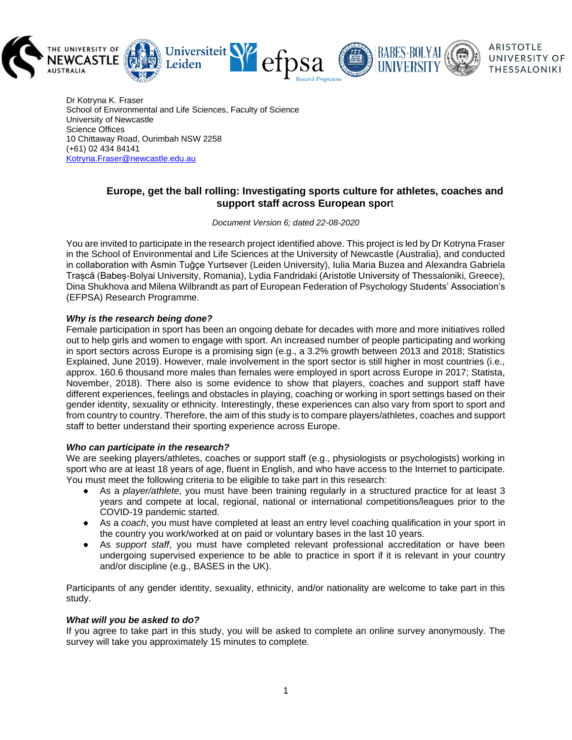

Dr Kotryna K. Fraser School of Environmental and Life Sciences, Faculty of Science University of Newcastle Science Offices 10 Chittaway Road, Ourimbah NSW 2258 (+61) 02 434 84141 [Kotryna.Fraser@newcastle.edu.au](mailto:Kotryna.Fraser@newcastle.edu.au)

# **Europe, get the ball rolling: Investigating sports culture for athletes, coaches and support staff across European spor**t

*Document Version 6; dated 22-08-2020*

You are invited to participate in the research project identified above. This project is led by Dr Kotryna Fraser in the School of Environmental and Life Sciences at the University of Newcastle (Australia), and conducted in collaboration with Asmin Tuğçe Yurtsever (Leiden University), Iulia Maria Buzea and Alexandra Gabriela Trașcă (Babeș-Bolyai University, Romania), Lydia Fandridaki (Aristotle University of Thessaloniki, Greece), Dina Shukhova and Milena Wilbrandt as part of European Federation of Psychology Students' Association's (EFPSA) Research Programme.

# *Why is the research being done?*

Female participation in sport has been an ongoing debate for decades with more and more initiatives rolled out to help girls and women to engage with sport. An increased number of people participating and working in sport sectors across Europe is a promising sign (e.g., a 3.2% growth between 2013 and 2018; Statistics Explained, June 2019). However, male involvement in the sport sector is still higher in most countries (i.e., approx. 160.6 thousand more males than females were employed in sport across Europe in 2017; Statista, November, 2018). There also is some evidence to show that players, coaches and support staff have different experiences, feelings and obstacles in playing, coaching or working in sport settings based on their gender identity, sexuality or ethnicity. Interestingly, these experiences can also vary from sport to sport and from country to country. Therefore, the aim of this study is to compare players/athletes, coaches and support staff to better understand their sporting experience across Europe.

## *Who can participate in the research?*

We are seeking players/athletes, coaches or support staff (e.g., physiologists or psychologists) working in sport who are at least 18 years of age, fluent in English, and who have access to the Internet to participate. You must meet the following criteria to be eligible to take part in this research:

- As a *player/athlete*, you must have been training regularly in a structured practice for at least 3 years and compete at local, regional, national or international competitions/leagues prior to the COVID-19 pandemic started.
- As a *coach*, you must have completed at least an entry level coaching qualification in your sport in the country you work/worked at on paid or voluntary bases in the last 10 years.
- As *support staff*, you must have completed relevant professional accreditation or have been undergoing supervised experience to be able to practice in sport if it is relevant in your country and/or discipline (e.g., BASES in the UK).

Participants of any gender identity, sexuality, ethnicity, and/or nationality are welcome to take part in this study.

## *What will you be asked to do?*

If you agree to take part in this study, you will be asked to complete an online survey anonymously. The survey will take you approximately 15 minutes to complete.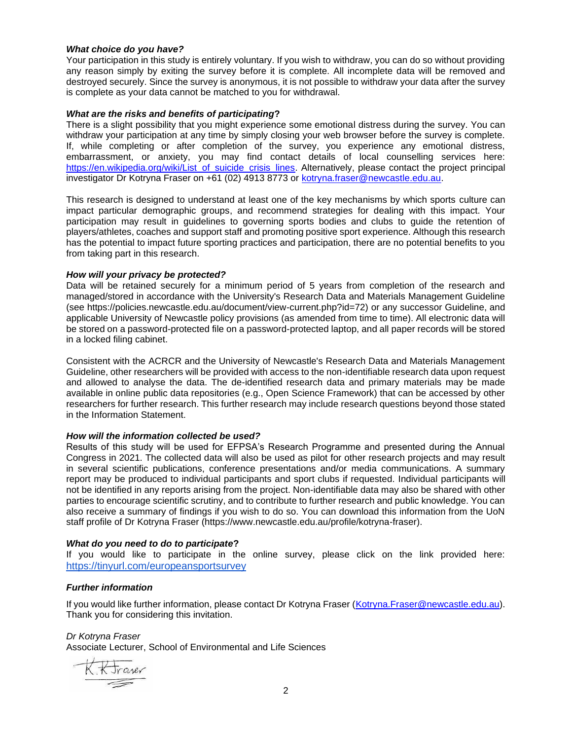## *What choice do you have?*

Your participation in this study is entirely voluntary. If you wish to withdraw, you can do so without providing any reason simply by exiting the survey before it is complete. All incomplete data will be removed and destroyed securely. Since the survey is anonymous, it is not possible to withdraw your data after the survey is complete as your data cannot be matched to you for withdrawal.

## *What are the risks and benefits of participating***?**

There is a slight possibility that you might experience some emotional distress during the survey. You can withdraw your participation at any time by simply closing your web browser before the survey is complete. If, while completing or after completion of the survey, you experience any emotional distress, embarrassment, or anxiety, you may find contact details of local counselling services here: [https://en.wikipedia.org/wiki/List\\_of\\_suicide\\_crisis\\_lines.](https://en.wikipedia.org/wiki/List_of_suicide_crisis_lines) Alternatively, please contact the project principal investigator Dr Kotryna Fraser on +61 (02) 4913 8773 or [kotryna.fraser@newcastle.edu.au.](mailto:kotryna.fraser@newcastle.edu.au)

This research is designed to understand at least one of the key mechanisms by which sports culture can impact particular demographic groups, and recommend strategies for dealing with this impact. Your participation may result in guidelines to governing sports bodies and clubs to guide the retention of players/athletes, coaches and support staff and promoting positive sport experience. Although this research has the potential to impact future sporting practices and participation, there are no potential benefits to you from taking part in this research.

## *How will your privacy be protected?*

Data will be retained securely for a minimum period of 5 years from completion of the research and managed/stored in accordance with the University's Research Data and Materials Management Guideline (see https://policies.newcastle.edu.au/document/view-current.php?id=72) or any successor Guideline, and applicable University of Newcastle policy provisions (as amended from time to time). All electronic data will be stored on a password-protected file on a password-protected laptop, and all paper records will be stored in a locked filing cabinet.

Consistent with the ACRCR and the University of Newcastle's Research Data and Materials Management Guideline, other researchers will be provided with access to the non-identifiable research data upon request and allowed to analyse the data. The de-identified research data and primary materials may be made available in online public data repositories (e.g., Open Science Framework) that can be accessed by other researchers for further research. This further research may include research questions beyond those stated in the Information Statement.

## *How will the information collected be used?*

Results of this study will be used for EFPSA's Research Programme and presented during the Annual Congress in 2021. The collected data will also be used as pilot for other research projects and may result in several scientific publications, conference presentations and/or media communications. A summary report may be produced to individual participants and sport clubs if requested. Individual participants will not be identified in any reports arising from the project. Non-identifiable data may also be shared with other parties to encourage scientific scrutiny, and to contribute to further research and public knowledge. You can also receive a summary of findings if you wish to do so. You can download this information from the UoN staff profile of Dr Kotryna Fraser (https://www.newcastle.edu.au/profile/kotryna-fraser).

# *What do you need to do to participate***?**

If you would like to participate in the online survey, please click on the link provided here: <https://tinyurl.com/europeansportsurvey>

## *Further information*

If you would like further information, please contact Dr Kotryna Fraser [\(Kotryna.Fraser@newcastle.edu.au\)](mailto:Kotryna.Fraser@newcastle.edu.au). Thank you for considering this invitation.

# *Dr Kotryna Fraser*

Associate Lecturer, School of Environmental and Life Sciences